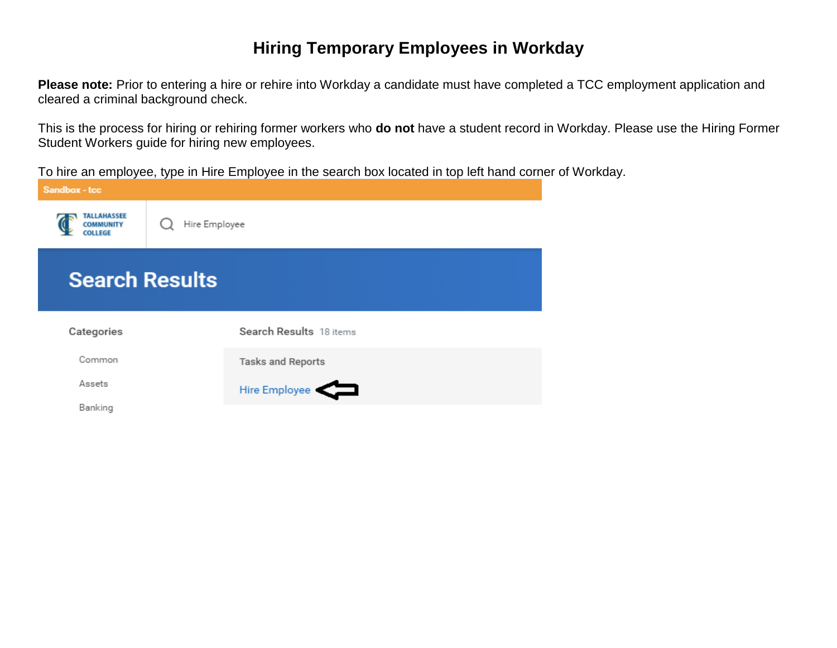## **Hiring Temporary Employees in Workday**

**Please note:** Prior to entering a hire or rehire into Workday a candidate must have completed a TCC employment application and cleared a criminal background check.

This is the process for hiring or rehiring former workers who **do not** have a student record in Workday. Please use the Hiring Former Student Workers guide for hiring new employees.

To hire an employee, type in Hire Employee in the search box located in top left hand corner of Workday.

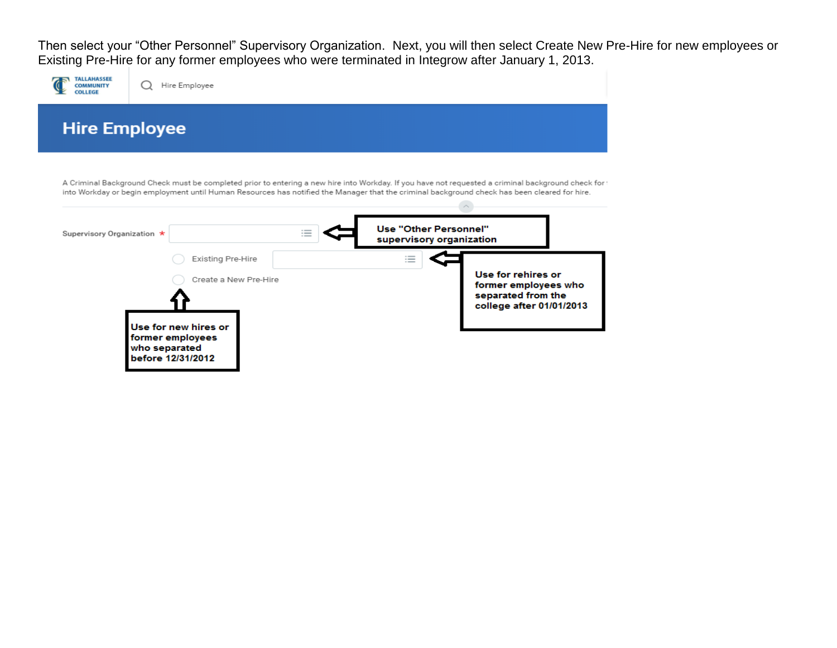Then select your "Other Personnel" Supervisory Organization. Next, you will then select Create New Pre-Hire for new employees or Existing Pre-Hire for any former employees who were terminated in Integrow after January 1, 2013.

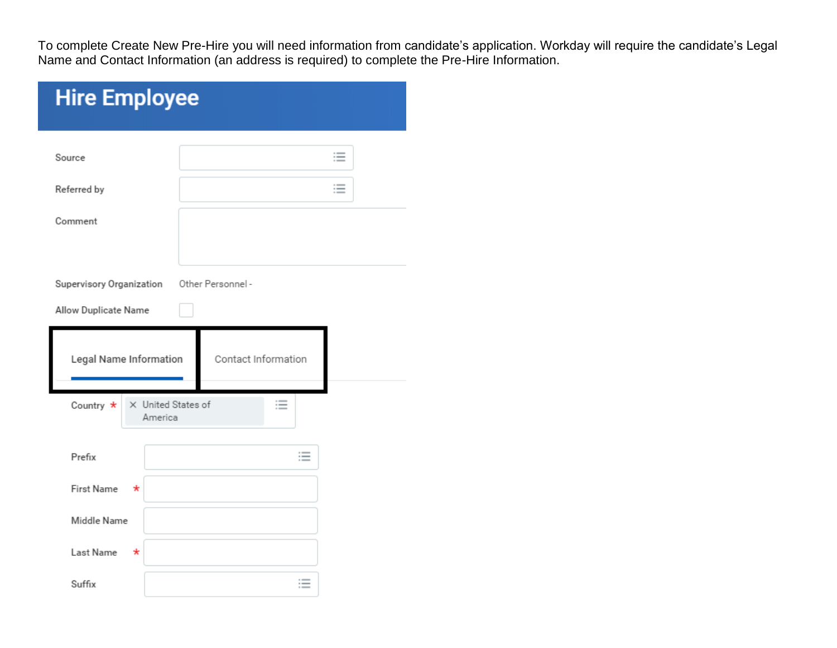To complete Create New Pre-Hire you will need information from candidate's application. Workday will require the candidate's Legal Name and Contact Information (an address is required) to complete the Pre-Hire Information.

| <b>Hire Employee</b>         |                               |                     |   |   |
|------------------------------|-------------------------------|---------------------|---|---|
| Source                       |                               |                     |   | 這 |
| Referred by                  |                               |                     |   | ≔ |
| Comment                      |                               |                     |   |   |
| Supervisory Organization     |                               | Other Personnel -   |   |   |
| Allow Duplicate Name         |                               |                     |   |   |
| Legal Name Information       |                               | Contact Information |   |   |
| Country *                    | X United States of<br>America |                     | 這 |   |
| Prefix                       |                               |                     | 這 |   |
| <b>First Name</b><br>$\star$ |                               |                     |   |   |
| Middle Name                  |                               |                     |   |   |
| Last Name<br>$\star$         |                               |                     |   |   |
| Suffix                       |                               |                     | 三 |   |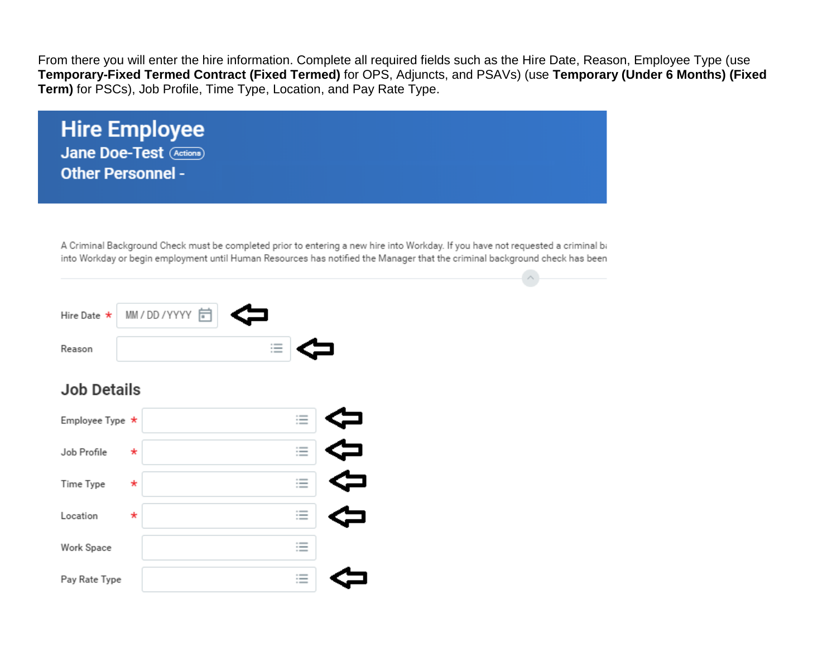From there you will enter the hire information. Complete all required fields such as the Hire Date, Reason, Employee Type (use Temporary-Fixed Termed Contract (Fixed Termed) for OPS, Adjuncts, and PSAVs) (use Temporary (Under 6 Months) (Fixed Term) for PSCs), Job Profile, Time Type, Location, and Pay Rate Type.

**Hire Employee Jane Doe-Test (Actions) Other Personnel -**

A Criminal Background Check must be completed prior to entering a new hire into Workday. If you have not requested a criminal ba into Workday or begin employment until Human Resources has notified the Manager that the criminal background check has been

|        | Hire Date $\star$ MM / DD / YYYY $\Box$ |  |
|--------|-----------------------------------------|--|
| Reason |                                         |  |

## **Job Details**

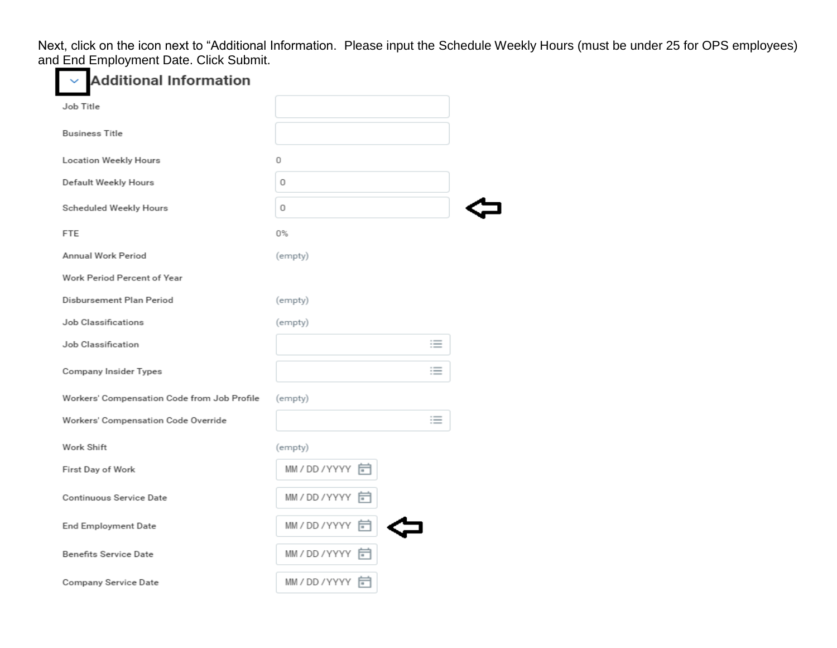Next, click on the icon next to "Additional Information. Please input the Schedule Weekly Hours (must be under 25 for OPS employees) and End Employment Date. Click Submit.

| <b>Additional Information</b>               |                       |  |
|---------------------------------------------|-----------------------|--|
| Job Title                                   |                       |  |
| <b>Business Title</b>                       |                       |  |
| Location Weekly Hours                       | 0                     |  |
| Default Weekly Hours                        | 0                     |  |
| Scheduled Weekly Hours                      | 0                     |  |
| FTE                                         | 0%                    |  |
| Annual Work Period                          | (empty)               |  |
| Work Period Percent of Year                 |                       |  |
| Disbursement Plan Period                    | (empty)               |  |
| <b>Job Classifications</b>                  | (empty)               |  |
| Job Classification                          | $\mathrel{\mathop:}=$ |  |
| Company Insider Types                       | 三                     |  |
| Workers' Compensation Code from Job Profile | (empty)               |  |
| Workers' Compensation Code Override         | $\equiv$              |  |
| Work Shift                                  | (empty)               |  |
| First Day of Work                           | MM / DD / YYYY        |  |
| Continuous Service Date                     | MM / DD / YYYY<br>₣   |  |
| <b>End Employment Date</b>                  | MM / DD / YYYY<br>F   |  |
| <b>Benefits Service Date</b>                | MM / DD / YYYY<br>帍   |  |
| <b>Company Service Date</b>                 | MM / DD / YYYY 同      |  |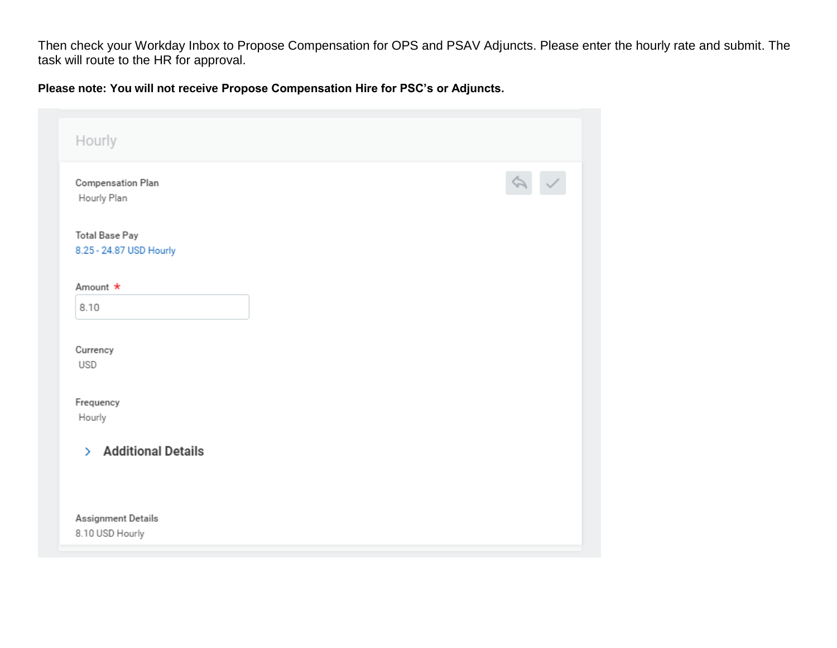Then check your Workday Inbox to Propose Compensation for OPS and PSAV Adjuncts. Please enter the hourly rate and submit. The task will route to the HR for approval.

**Please note: You will not receive Propose Compensation Hire for PSC's or Adjuncts.**

| Hourly                                           |  |
|--------------------------------------------------|--|
| <b>Compensation Plan</b><br>Hourly Plan          |  |
| <b>Total Base Pay</b><br>8.25 - 24.87 USD Hourly |  |
| Amount *                                         |  |
| 8.10                                             |  |
| Currency<br>USD                                  |  |
| Frequency                                        |  |
| Hourly                                           |  |
| <b>Additional Details</b><br>$\geq$              |  |
| Assignment Details<br>8.10 USD Hourly            |  |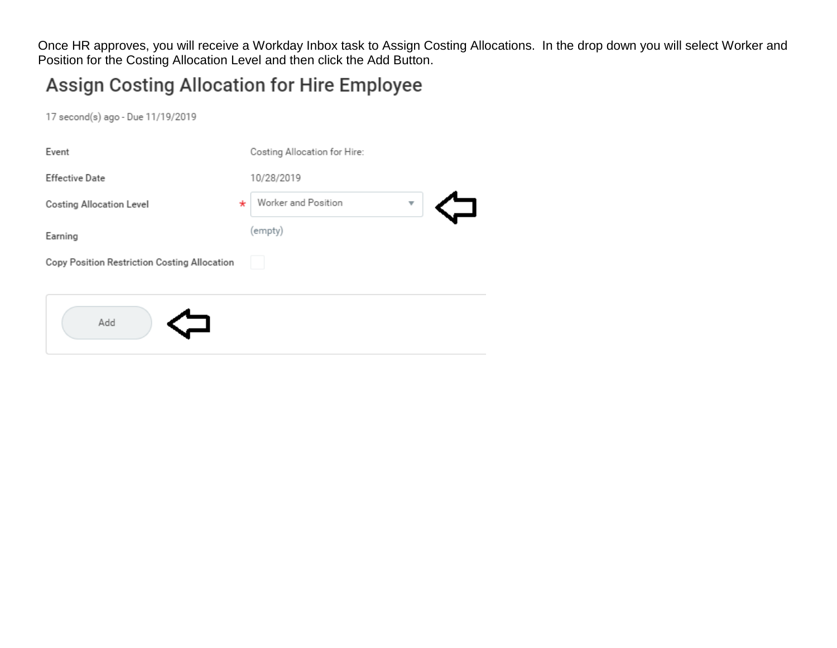Once HR approves, you will receive a Workday Inbox task to Assign Costing Allocations. In the drop down you will select Worker and Position for the Costing Allocation Level and then click the Add Button.

## Assign Costing Allocation for Hire Employee

17 second(s) ago - Due 11/19/2019

| Event                                        | Costing Allocation for Hire: |
|----------------------------------------------|------------------------------|
| <b>Effective Date</b>                        | 10/28/2019                   |
| $\star$<br><b>Costing Allocation Level</b>   | Worker and Position<br>▼     |
| Earning                                      | (empty)                      |
| Copy Position Restriction Costing Allocation |                              |
|                                              |                              |
| Add                                          |                              |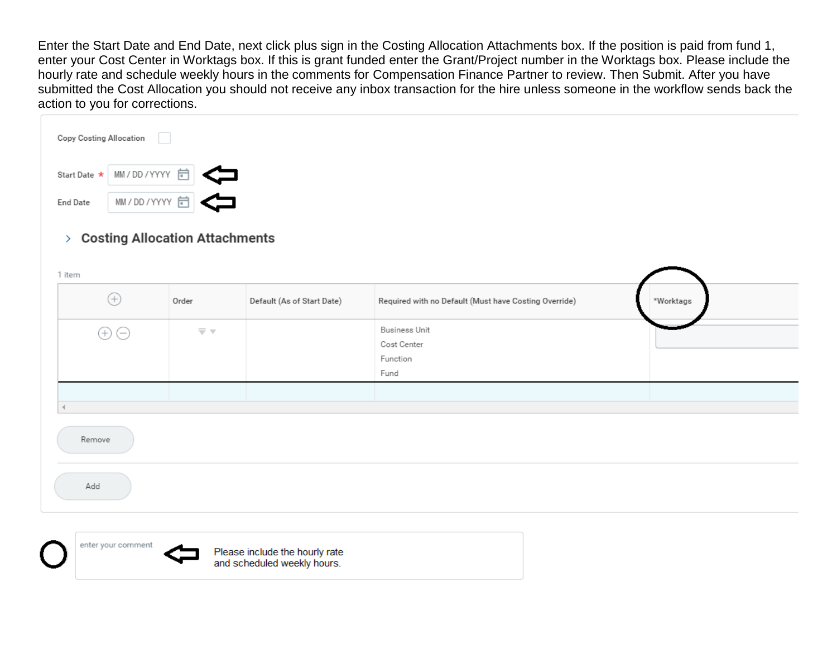Enter the Start Date and End Date, next click plus sign in the Costing Allocation Attachments box. If the position is paid from fund 1, enter your Cost Center in Worktags box. If this is grant funded enter the Grant/Project number in the Worktags box. Please include the hourly rate and schedule weekly hours in the comments for Compensation Finance Partner to review. Then Submit. After you have submitted the Cost Allocation you should not receive any inbox transaction for the hire unless someone in the workflow sends back the action to you for corrections.

| <b>Copy Costing Allocation</b> |                                   |
|--------------------------------|-----------------------------------|
|                                | Start Date $\star$ MM / DD / YYYY |
| <b>End Date</b>                | MM / DD / YYYY                    |

## > Costing Allocation Attachments

| 1 item    |                                         |                            |                                                       |           |
|-----------|-----------------------------------------|----------------------------|-------------------------------------------------------|-----------|
| ⊕         | Order                                   | Default (As of Start Date) | Required with no Default (Must have Costing Override) | *Worktags |
| $\ominus$ | $\overline{\nabla}$ $\overline{\nabla}$ |                            | Business Unit<br>Cost Center<br>Function              |           |
|           |                                         |                            | Fund                                                  |           |
| Remove    |                                         |                            |                                                       |           |
| Add       |                                         |                            |                                                       |           |
|           |                                         |                            |                                                       |           |



Please include the hourly rate and scheduled weekly hours.